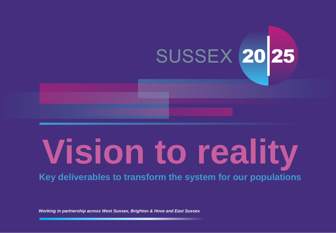# SUSSEX 20 25

# **Vision to reality**

**Key deliverables to transform the system for our populations**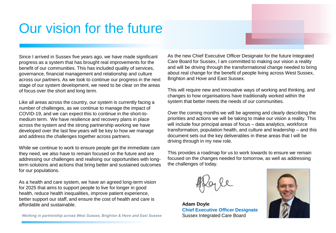## Our vision for the future

Since I arrived in Sussex five years ago, we have made significant progress as a system that has brought real improvements for the benefit of our communities. This has included quality of services, governance, financial management and relationship and culture across our partners. As we look to continue our progress in the next stage of our system development, we need to be clear on the areas of focus over the short and long term.

Like all areas across the country, our system is currently facing a number of challenges, as we continue to manage the impact of COVID-19, and we can expect this to continue in the short-tomedium term. We have resilience and recovery plans in place across the system and the strong partnership working we have developed over the last few years will be key to how we manage and address the challenges together across partners.

While we continue to work to ensure people get the immediate care they need, we also have to remain focused on the future and are addressing our challenges and realising our opportunities with longterm solutions and actions that bring better and sustained outcomes for our populations.

As a health and care system, we have an agreed long-term vision for 2025 that aims to support people to live for longer in good health, reduce health inequalities, improve patient experience, better support our staff, and ensure the cost of health and care is affordable and sustainable.

Working in partnership across West Sussex, Brighton & Hove and East Sussex

As the new Chief Executive Officer Designate for the future Integrated Care Board for Sussex, I am committed to making our vision a reality and will be driving through the transformational change needed to bring about real change for the benefit of people living across West Sussex, Brighton and Hove and East Sussex.

This will require new and innovative ways of working and thinking, and changes to how organisations have traditionally worked within the system that better meets the needs of our communities.

Over the coming months we will be agreeing and clearly describing the priorities and actions we will be taking to make our vision a reality. This will include four principal areas of focus – data analytics, workforce transformation, population health, and culture and leadership – and this document sets out the key deliverables in these areas that I will be driving through in my new role.

This provides a roadmap for us to work towards to ensure we remain focused on the changes needed for tomorrow, as well as addressing the challenges of today.



**Adam Doyle Chief Executive Officer Designate** Sussex Integrated Care Board

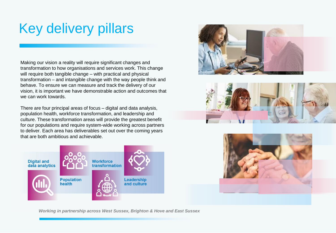# Key delivery pillars

Making our vision a reality will require significant changes and transformation to how organisations and services work. This change will require both tangible change – with practical and physical transformation – and intangible change with the way people think and behave. To ensure we can measure and track the delivery of our vision, it is important we have demonstrable action and outcomes that we can work towards.

There are four principal areas of focus – digital and data analysis, population health, workforce transformation, and leadership and culture. These transformation areas will provide the greatest benefit for our populations and require system-wide working across partners to deliver. Each area has deliverables set out over the coming years that are both ambitious and achievable.







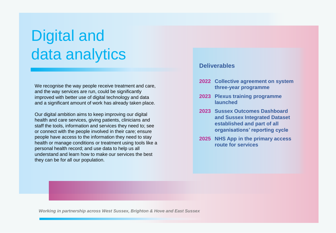# Digital and data analytics

We recognise the way people receive treatment and care, and the way services are run, could be significantly improved with better use of digital technology and data and a significant amount of work has already taken place.

Our digital ambition aims to keep improving our digital health and care services, giving patients, clinicians and staff the tools, information and services they need to; see or connect with the people involved in their care; ensure people have access to the information they need to stay health or manage conditions or treatment using tools like a personal health record; and use data to help us all understand and learn how to make our services the best they can be for all our population.

#### **Deliverables**

- **2022 Collective agreement on system three-year programme**
- **2023 Plexus training programme launched**
- **2023 Sussex Outcomes Dashboard and Sussex Integrated Dataset established and part of all organisations' reporting cycle**
- **2025 NHS App in the primary access route for services**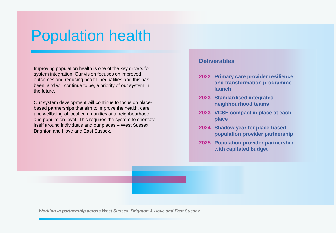# Population health

Improving population health is one of the key drivers for system integration. Our vision focuses on improved outcomes and reducing health inequalities and this has been, and will continue to be, a priority of our system in the future.

Our system development will continue to focus on placebased partnerships that aim to improve the health, care and wellbeing of local communities at a neighbourhood and population-level. This requires the system to orientate itself around individuals and our places – West Sussex, Brighton and Hove and East Sussex.

#### **Deliverables**

- **2022 Primary care provider resilience and transformation programme launch**
- **2023 Standardised integrated neighbourhood teams**
- **2023 VCSE compact in place at each place**
- **2024 Shadow year for place-based population provider partnership**
- **2025 Population provider partnership with capitated budget**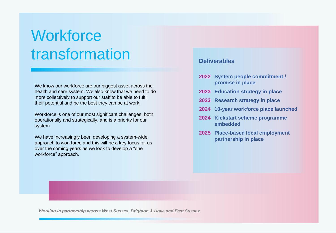# **Workforce** transformation

We know our workforce are our biggest asset across the health and care system. We also know that we need to do more collectively to support our staff to be able to fulfil their potential and be the best they can be at work.

Workforce is one of our most significant challenges, both operationally and strategically, and is a priority for our system.

We have increasingly been developing a system-wide approach to workforce and this will be a key focus for us over the coming years as we look to develop a "one workforce" approach.

#### **Deliverables**

- **2022 System people commitment / promise in place**
- **2023 Education strategy in place**
- **2023 Research strategy in place**
- **2024 10-year workforce place launched**
- **2024 Kickstart scheme programme embedded**
- **2025 Place-based local employment partnership in place**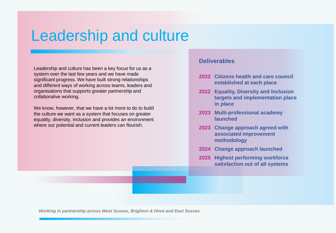# Leadership and culture

Leadership and culture has been a key focus for us as a system over the last few years and we have made significant progress. We have built strong relationships and different ways of working across teams, leaders and organisations that supports greater partnership and collaborative working.

We know, however, that we have a lot more to do to build the culture we want as a system that focuses on greater equality, diversity, inclusion and provides an environment where our potential and current leaders can flourish.

#### **Deliverables**

- **2022 Citizens health and care council established at each place**
- **2022 Equality, Diversity and Inclusion targets and implementation place in place**
- **2023 Multi-professional academy launched**
- **2023 Change approach agreed with associated improvement methodology**
- **2024 Change approach launched**
- **2025 Highest performing workforce satisfaction out of all systems**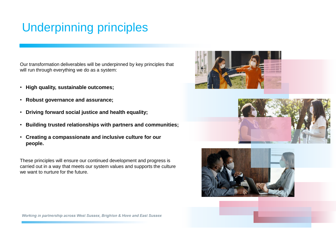### Underpinning principles

Our transformation deliverables will be underpinned by key principles that will run through everything we do as a system:

- **High quality, sustainable outcomes;**
- **Robust governance and assurance;**
- **Driving forward social justice and health equality;**
- **Building trusted relationships with partners and communities;**
- **Creating a compassionate and inclusive culture for our people.**

These principles will ensure our continued development and progress is carried out in a way that meets our system values and supports the culture we want to nurture for the future.